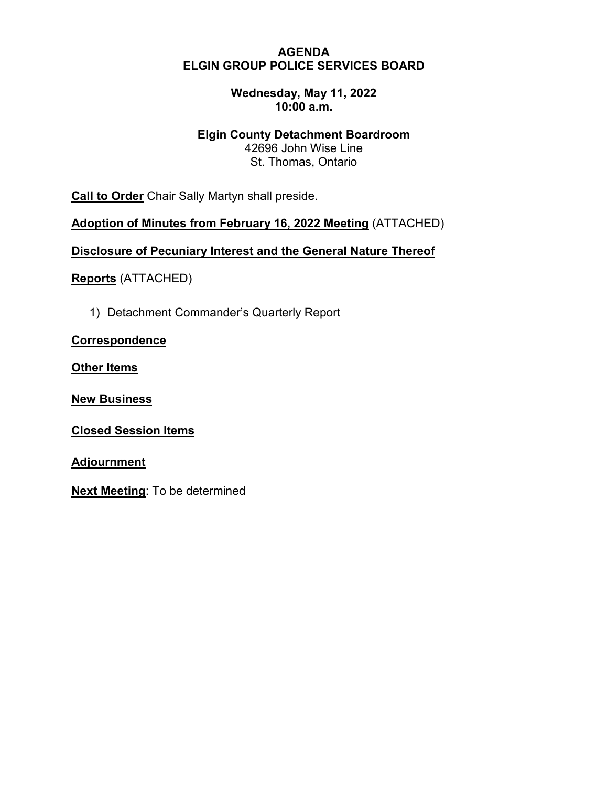### **AGENDA ELGIN GROUP POLICE SERVICES BOARD**

# **Wednesday, May 11, 2022 10:00 a.m.**

# **Elgin County Detachment Boardroom**

42696 John Wise Line St. Thomas, Ontario

**Call to Order** Chair Sally Martyn shall preside.

**Adoption of Minutes from February 16, 2022 Meeting** (ATTACHED)

**Disclosure of Pecuniary Interest and the General Nature Thereof**

**Reports** (ATTACHED)

1) Detachment Commander's Quarterly Report

**Correspondence**

**Other Items**

**New Business**

**Closed Session Items**

**Adjournment**

**Next Meeting**: To be determined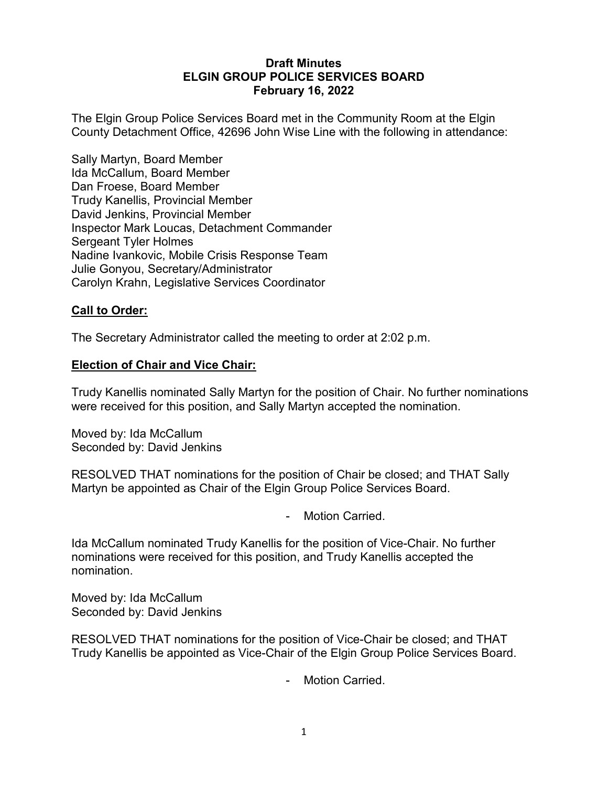# **Draft Minutes ELGIN GROUP POLICE SERVICES BOARD February 16, 2022**

The Elgin Group Police Services Board met in the Community Room at the Elgin County Detachment Office, 42696 John Wise Line with the following in attendance:

Sally Martyn, Board Member Ida McCallum, Board Member Dan Froese, Board Member Trudy Kanellis, Provincial Member David Jenkins, Provincial Member Inspector Mark Loucas, Detachment Commander Sergeant Tyler Holmes Nadine Ivankovic, Mobile Crisis Response Team Julie Gonyou, Secretary/Administrator Carolyn Krahn, Legislative Services Coordinator

# **Call to Order:**

The Secretary Administrator called the meeting to order at 2:02 p.m.

### **Election of Chair and Vice Chair:**

Trudy Kanellis nominated Sally Martyn for the position of Chair. No further nominations were received for this position, and Sally Martyn accepted the nomination.

Moved by: Ida McCallum Seconded by: David Jenkins

RESOLVED THAT nominations for the position of Chair be closed; and THAT Sally Martyn be appointed as Chair of the Elgin Group Police Services Board.

- Motion Carried.

Ida McCallum nominated Trudy Kanellis for the position of Vice-Chair. No further nominations were received for this position, and Trudy Kanellis accepted the nomination.

Moved by: Ida McCallum Seconded by: David Jenkins

RESOLVED THAT nominations for the position of Vice-Chair be closed; and THAT Trudy Kanellis be appointed as Vice-Chair of the Elgin Group Police Services Board.

Motion Carried.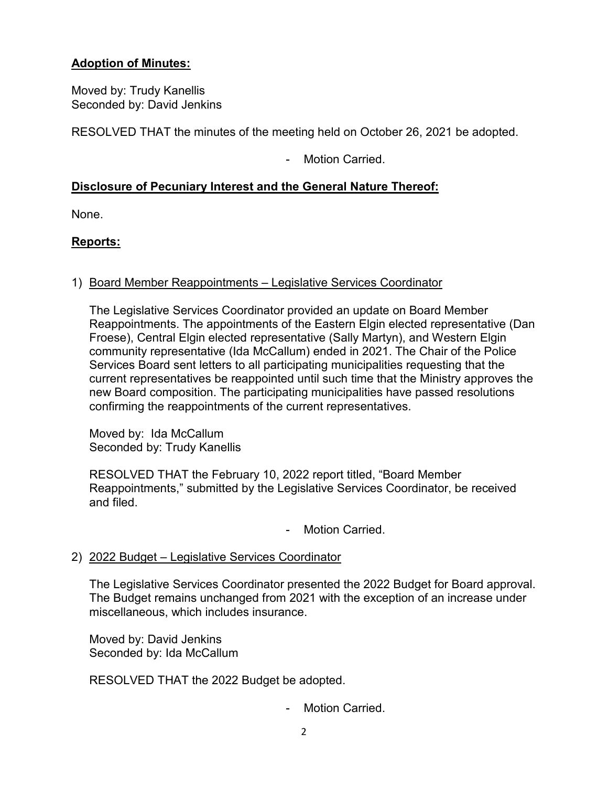# **Adoption of Minutes:**

Moved by: Trudy Kanellis Seconded by: David Jenkins

RESOLVED THAT the minutes of the meeting held on October 26, 2021 be adopted.

- Motion Carried.

# **Disclosure of Pecuniary Interest and the General Nature Thereof:**

None.

# **Reports:**

# 1) Board Member Reappointments – Legislative Services Coordinator

The Legislative Services Coordinator provided an update on Board Member Reappointments. The appointments of the Eastern Elgin elected representative (Dan Froese), Central Elgin elected representative (Sally Martyn), and Western Elgin community representative (Ida McCallum) ended in 2021. The Chair of the Police Services Board sent letters to all participating municipalities requesting that the current representatives be reappointed until such time that the Ministry approves the new Board composition. The participating municipalities have passed resolutions confirming the reappointments of the current representatives.

Moved by: Ida McCallum Seconded by: Trudy Kanellis

RESOLVED THAT the February 10, 2022 report titled, "Board Member Reappointments," submitted by the Legislative Services Coordinator, be received and filed.

- Motion Carried.
- 2) 2022 Budget Legislative Services Coordinator

The Legislative Services Coordinator presented the 2022 Budget for Board approval. The Budget remains unchanged from 2021 with the exception of an increase under miscellaneous, which includes insurance.

Moved by: David Jenkins Seconded by: Ida McCallum

RESOLVED THAT the 2022 Budget be adopted.

- Motion Carried.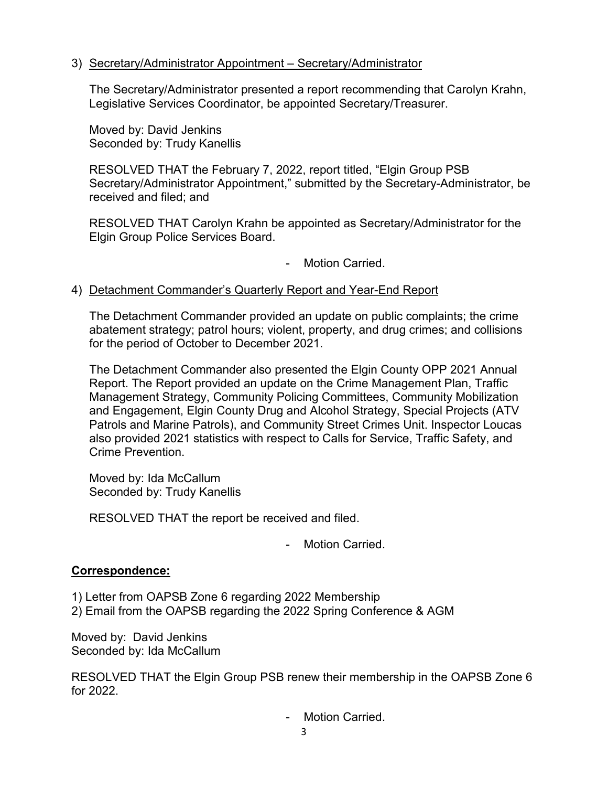# 3) Secretary/Administrator Appointment – Secretary/Administrator

The Secretary/Administrator presented a report recommending that Carolyn Krahn, Legislative Services Coordinator, be appointed Secretary/Treasurer.

Moved by: David Jenkins Seconded by: Trudy Kanellis

RESOLVED THAT the February 7, 2022, report titled, "Elgin Group PSB Secretary/Administrator Appointment," submitted by the Secretary-Administrator, be received and filed; and

RESOLVED THAT Carolyn Krahn be appointed as Secretary/Administrator for the Elgin Group Police Services Board.

- Motion Carried.

# 4) Detachment Commander's Quarterly Report and Year-End Report

The Detachment Commander provided an update on public complaints; the crime abatement strategy; patrol hours; violent, property, and drug crimes; and collisions for the period of October to December 2021.

The Detachment Commander also presented the Elgin County OPP 2021 Annual Report. The Report provided an update on the Crime Management Plan, Traffic Management Strategy, Community Policing Committees, Community Mobilization and Engagement, Elgin County Drug and Alcohol Strategy, Special Projects (ATV Patrols and Marine Patrols), and Community Street Crimes Unit. Inspector Loucas also provided 2021 statistics with respect to Calls for Service, Traffic Safety, and Crime Prevention.

Moved by: Ida McCallum Seconded by: Trudy Kanellis

RESOLVED THAT the report be received and filed.

- Motion Carried.

### **Correspondence:**

1) Letter from OAPSB Zone 6 regarding 2022 Membership 2) Email from the OAPSB regarding the 2022 Spring Conference & AGM

Moved by: David Jenkins Seconded by: Ida McCallum

RESOLVED THAT the Elgin Group PSB renew their membership in the OAPSB Zone 6 for 2022.

- Motion Carried.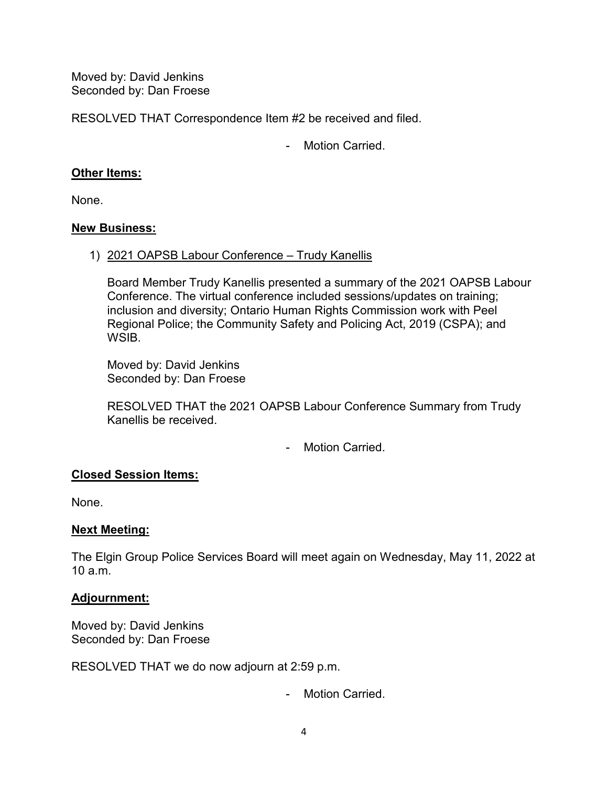Moved by: David Jenkins Seconded by: Dan Froese

RESOLVED THAT Correspondence Item #2 be received and filed.

- Motion Carried.

# **Other Items:**

None.

### **New Business:**

1) 2021 OAPSB Labour Conference – Trudy Kanellis

Board Member Trudy Kanellis presented a summary of the 2021 OAPSB Labour Conference. The virtual conference included sessions/updates on training; inclusion and diversity; Ontario Human Rights Commission work with Peel Regional Police; the Community Safety and Policing Act, 2019 (CSPA); and WSIB.

Moved by: David Jenkins Seconded by: Dan Froese

RESOLVED THAT the 2021 OAPSB Labour Conference Summary from Trudy Kanellis be received.

- Motion Carried.

# **Closed Session Items:**

None.

# **Next Meeting:**

The Elgin Group Police Services Board will meet again on Wednesday, May 11, 2022 at  $10a \text{ m}$ 

# **Adjournment:**

Moved by: David Jenkins Seconded by: Dan Froese

RESOLVED THAT we do now adjourn at 2:59 p.m.

- Motion Carried.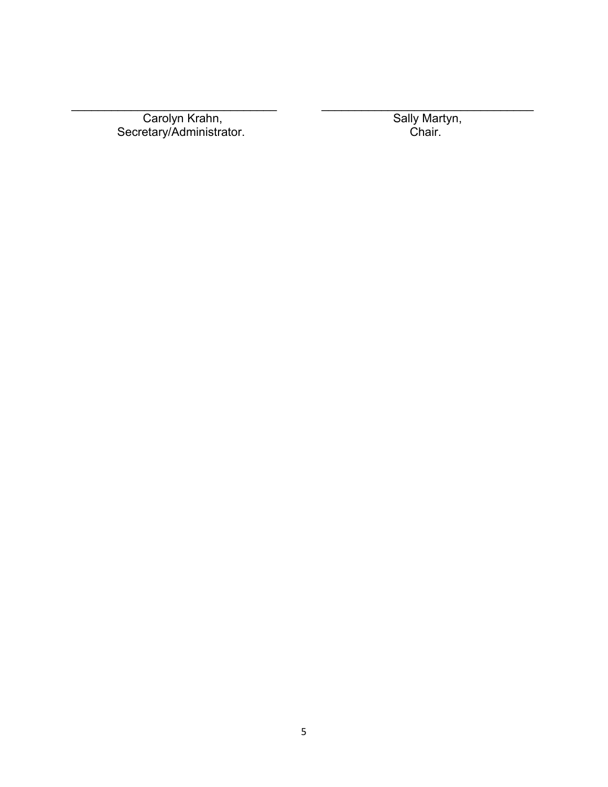Carolyn Krahn, Secretary/Administrator. Chair.

\_\_\_\_\_\_\_\_\_\_\_\_\_\_\_\_\_\_\_\_\_\_\_\_\_\_\_\_\_\_\_ \_\_\_\_\_\_\_\_\_\_\_\_\_\_\_\_\_\_\_\_\_\_\_\_\_\_\_\_\_\_\_\_

Sally Martyn,<br>Chair.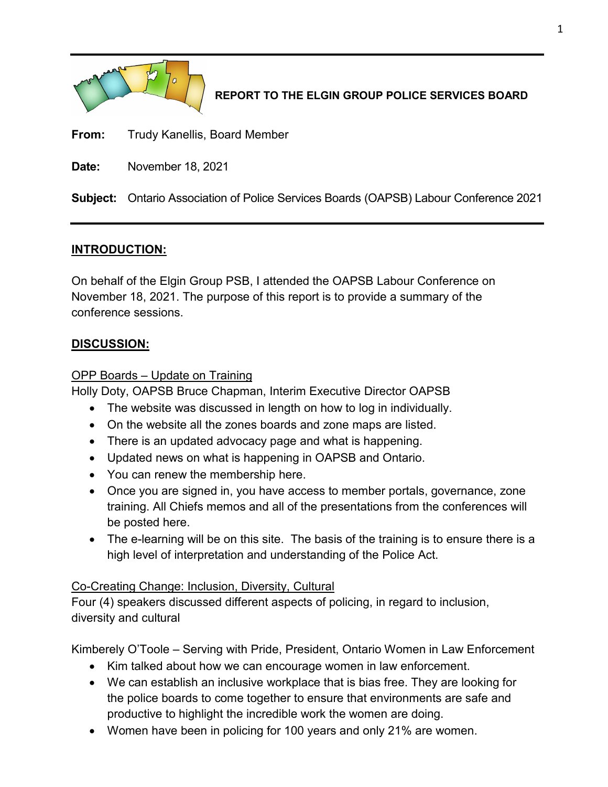

# **REPORT TO THE ELGIN GROUP POLICE SERVICES BOARD**

**From:** Trudy Kanellis, Board Member

**Date:** November 18, 2021

**Subject:** Ontario Association of Police Services Boards (OAPSB) Labour Conference 2021

# **INTRODUCTION:**

On behalf of the Elgin Group PSB, I attended the OAPSB Labour Conference on November 18, 2021. The purpose of this report is to provide a summary of the conference sessions.

# **DISCUSSION:**

# OPP Boards – Update on Training

Holly Doty, OAPSB Bruce Chapman, Interim Executive Director OAPSB

- The website was discussed in length on how to log in individually.
- On the website all the zones boards and zone maps are listed.
- There is an updated advocacy page and what is happening.
- Updated news on what is happening in OAPSB and Ontario.
- You can renew the membership here.
- Once you are signed in, you have access to member portals, governance, zone training. All Chiefs memos and all of the presentations from the conferences will be posted here.
- The e-learning will be on this site. The basis of the training is to ensure there is a high level of interpretation and understanding of the Police Act.

# Co-Creating Change: Inclusion, Diversity, Cultural

Four (4) speakers discussed different aspects of policing, in regard to inclusion, diversity and cultural

Kimberely O'Toole – Serving with Pride, President, Ontario Women in Law Enforcement

- Kim talked about how we can encourage women in law enforcement.
- We can establish an inclusive workplace that is bias free. They are looking for the police boards to come together to ensure that environments are safe and productive to highlight the incredible work the women are doing.
- Women have been in policing for 100 years and only 21% are women.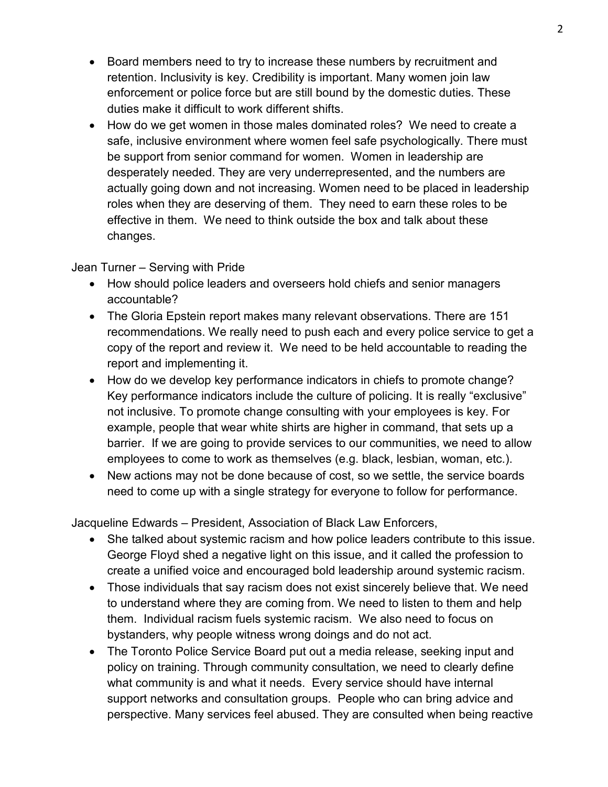- Board members need to try to increase these numbers by recruitment and retention. Inclusivity is key. Credibility is important. Many women join law enforcement or police force but are still bound by the domestic duties. These duties make it difficult to work different shifts.
- How do we get women in those males dominated roles? We need to create a safe, inclusive environment where women feel safe psychologically. There must be support from senior command for women. Women in leadership are desperately needed. They are very underrepresented, and the numbers are actually going down and not increasing. Women need to be placed in leadership roles when they are deserving of them. They need to earn these roles to be effective in them. We need to think outside the box and talk about these changes.

Jean Turner – Serving with Pride

- How should police leaders and overseers hold chiefs and senior managers accountable?
- The Gloria Epstein report makes many relevant observations. There are 151 recommendations. We really need to push each and every police service to get a copy of the report and review it. We need to be held accountable to reading the report and implementing it.
- How do we develop key performance indicators in chiefs to promote change? Key performance indicators include the culture of policing. It is really "exclusive" not inclusive. To promote change consulting with your employees is key. For example, people that wear white shirts are higher in command, that sets up a barrier. If we are going to provide services to our communities, we need to allow employees to come to work as themselves (e.g. black, lesbian, woman, etc.).
- New actions may not be done because of cost, so we settle, the service boards need to come up with a single strategy for everyone to follow for performance.

Jacqueline Edwards – President, Association of Black Law Enforcers,

- She talked about systemic racism and how police leaders contribute to this issue. George Floyd shed a negative light on this issue, and it called the profession to create a unified voice and encouraged bold leadership around systemic racism.
- Those individuals that say racism does not exist sincerely believe that. We need to understand where they are coming from. We need to listen to them and help them. Individual racism fuels systemic racism. We also need to focus on bystanders, why people witness wrong doings and do not act.
- The Toronto Police Service Board put out a media release, seeking input and policy on training. Through community consultation, we need to clearly define what community is and what it needs. Every service should have internal support networks and consultation groups. People who can bring advice and perspective. Many services feel abused. They are consulted when being reactive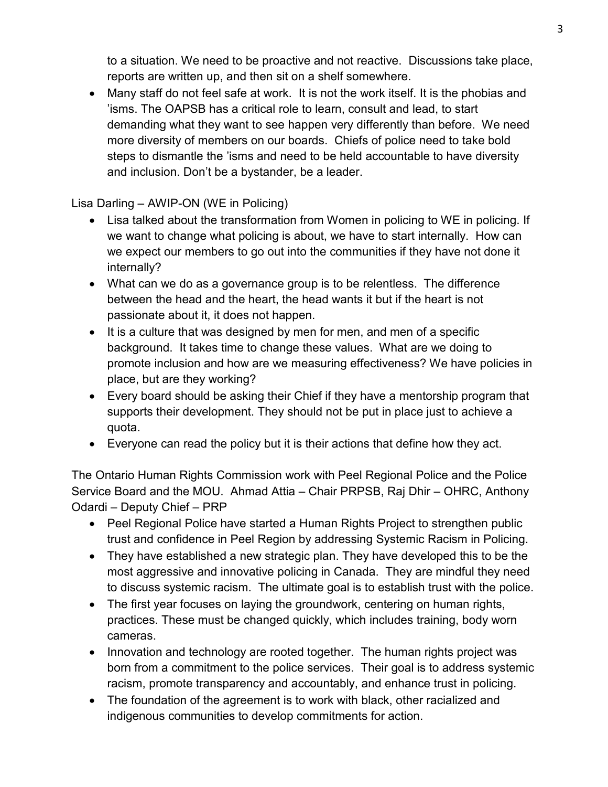to a situation. We need to be proactive and not reactive. Discussions take place, reports are written up, and then sit on a shelf somewhere.

• Many staff do not feel safe at work. It is not the work itself. It is the phobias and 'isms. The OAPSB has a critical role to learn, consult and lead, to start demanding what they want to see happen very differently than before. We need more diversity of members on our boards. Chiefs of police need to take bold steps to dismantle the 'isms and need to be held accountable to have diversity and inclusion. Don't be a bystander, be a leader.

Lisa Darling – AWIP-ON (WE in Policing)

- Lisa talked about the transformation from Women in policing to WE in policing. If we want to change what policing is about, we have to start internally. How can we expect our members to go out into the communities if they have not done it internally?
- What can we do as a governance group is to be relentless. The difference between the head and the heart, the head wants it but if the heart is not passionate about it, it does not happen.
- It is a culture that was designed by men for men, and men of a specific background. It takes time to change these values. What are we doing to promote inclusion and how are we measuring effectiveness? We have policies in place, but are they working?
- Every board should be asking their Chief if they have a mentorship program that supports their development. They should not be put in place just to achieve a quota.
- Everyone can read the policy but it is their actions that define how they act.

The Ontario Human Rights Commission work with Peel Regional Police and the Police Service Board and the MOU. Ahmad Attia – Chair PRPSB, Raj Dhir – OHRC, Anthony Odardi – Deputy Chief – PRP

- Peel Regional Police have started a Human Rights Project to strengthen public trust and confidence in Peel Region by addressing Systemic Racism in Policing.
- They have established a new strategic plan. They have developed this to be the most aggressive and innovative policing in Canada. They are mindful they need to discuss systemic racism. The ultimate goal is to establish trust with the police.
- The first year focuses on laying the groundwork, centering on human rights, practices. These must be changed quickly, which includes training, body worn cameras.
- Innovation and technology are rooted together. The human rights project was born from a commitment to the police services. Their goal is to address systemic racism, promote transparency and accountably, and enhance trust in policing.
- The foundation of the agreement is to work with black, other racialized and indigenous communities to develop commitments for action.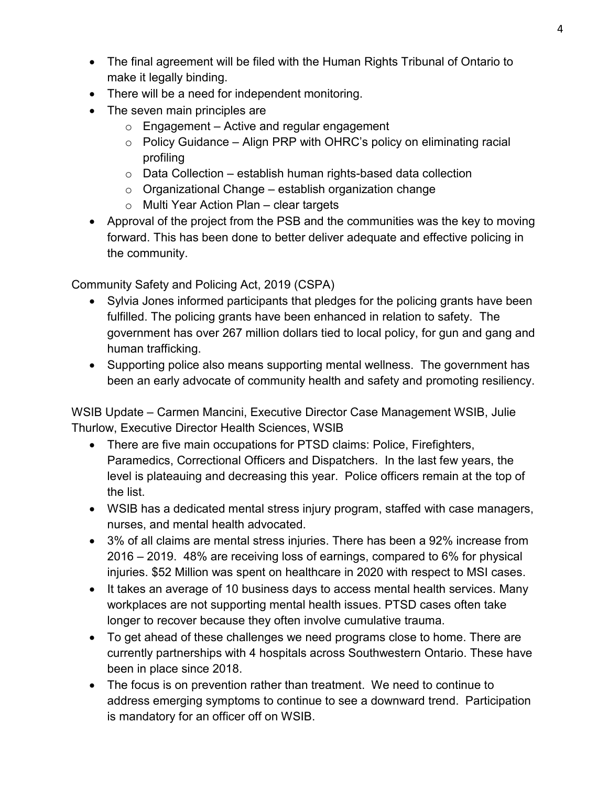- The final agreement will be filed with the Human Rights Tribunal of Ontario to make it legally binding.
- There will be a need for independent monitoring.
- The seven main principles are
	- $\circ$  Engagement Active and regular engagement
	- $\circ$  Policy Guidance Align PRP with OHRC's policy on eliminating racial profiling
	- $\circ$  Data Collection establish human rights-based data collection
	- $\circ$  Organizational Change establish organization change
	- o Multi Year Action Plan clear targets
- Approval of the project from the PSB and the communities was the key to moving forward. This has been done to better deliver adequate and effective policing in the community.

Community Safety and Policing Act, 2019 (CSPA)

- Sylvia Jones informed participants that pledges for the policing grants have been fulfilled. The policing grants have been enhanced in relation to safety. The government has over 267 million dollars tied to local policy, for gun and gang and human trafficking.
- Supporting police also means supporting mental wellness. The government has been an early advocate of community health and safety and promoting resiliency.

WSIB Update – Carmen Mancini, Executive Director Case Management WSIB, Julie Thurlow, Executive Director Health Sciences, WSIB

- There are five main occupations for PTSD claims: Police, Firefighters, Paramedics, Correctional Officers and Dispatchers. In the last few years, the level is plateauing and decreasing this year. Police officers remain at the top of the list.
- WSIB has a dedicated mental stress injury program, staffed with case managers, nurses, and mental health advocated.
- 3% of all claims are mental stress injuries. There has been a 92% increase from 2016 – 2019. 48% are receiving loss of earnings, compared to 6% for physical injuries. \$52 Million was spent on healthcare in 2020 with respect to MSI cases.
- It takes an average of 10 business days to access mental health services. Many workplaces are not supporting mental health issues. PTSD cases often take longer to recover because they often involve cumulative trauma.
- To get ahead of these challenges we need programs close to home. There are currently partnerships with 4 hospitals across Southwestern Ontario. These have been in place since 2018.
- The focus is on prevention rather than treatment. We need to continue to address emerging symptoms to continue to see a downward trend. Participation is mandatory for an officer off on WSIB.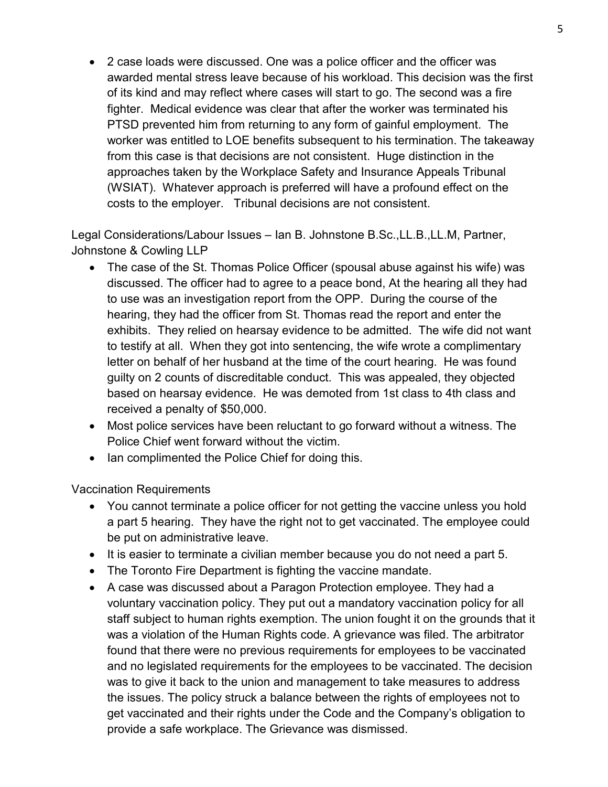• 2 case loads were discussed. One was a police officer and the officer was awarded mental stress leave because of his workload. This decision was the first of its kind and may reflect where cases will start to go. The second was a fire fighter. Medical evidence was clear that after the worker was terminated his PTSD prevented him from returning to any form of gainful employment. The worker was entitled to LOE benefits subsequent to his termination. The takeaway from this case is that decisions are not consistent. Huge distinction in the approaches taken by the Workplace Safety and Insurance Appeals Tribunal (WSIAT). Whatever approach is preferred will have a profound effect on the costs to the employer. Tribunal decisions are not consistent.

Legal Considerations/Labour Issues – Ian B. Johnstone B.Sc.,LL.B.,LL.M, Partner, Johnstone & Cowling LLP

- The case of the St. Thomas Police Officer (spousal abuse against his wife) was discussed. The officer had to agree to a peace bond, At the hearing all they had to use was an investigation report from the OPP. During the course of the hearing, they had the officer from St. Thomas read the report and enter the exhibits. They relied on hearsay evidence to be admitted. The wife did not want to testify at all. When they got into sentencing, the wife wrote a complimentary letter on behalf of her husband at the time of the court hearing. He was found guilty on 2 counts of discreditable conduct. This was appealed, they objected based on hearsay evidence. He was demoted from 1st class to 4th class and received a penalty of \$50,000.
- Most police services have been reluctant to go forward without a witness. The Police Chief went forward without the victim.
- Ian complimented the Police Chief for doing this.

Vaccination Requirements

- You cannot terminate a police officer for not getting the vaccine unless you hold a part 5 hearing. They have the right not to get vaccinated. The employee could be put on administrative leave.
- It is easier to terminate a civilian member because you do not need a part 5.
- The Toronto Fire Department is fighting the vaccine mandate.
- A case was discussed about a Paragon Protection employee. They had a voluntary vaccination policy. They put out a mandatory vaccination policy for all staff subject to human rights exemption. The union fought it on the grounds that it was a violation of the Human Rights code. A grievance was filed. The arbitrator found that there were no previous requirements for employees to be vaccinated and no legislated requirements for the employees to be vaccinated. The decision was to give it back to the union and management to take measures to address the issues. The policy struck a balance between the rights of employees not to get vaccinated and their rights under the Code and the Company's obligation to provide a safe workplace. The Grievance was dismissed.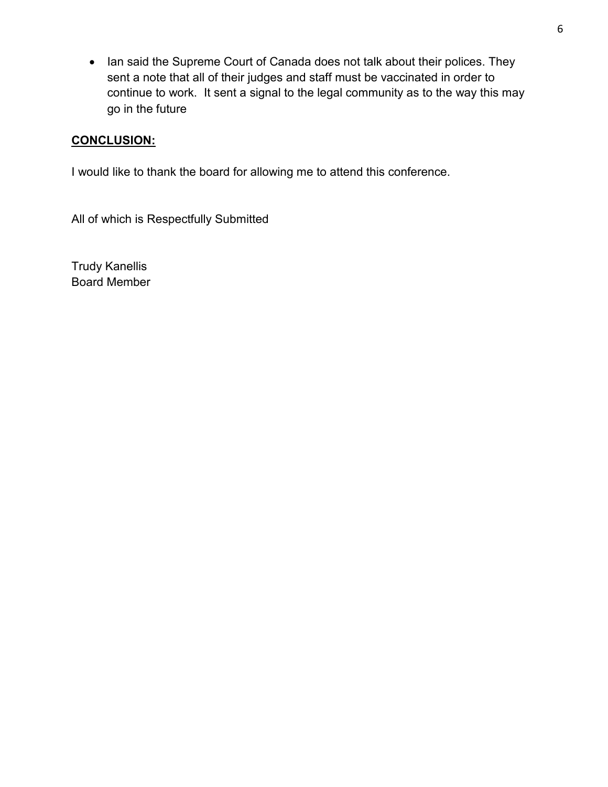• Ian said the Supreme Court of Canada does not talk about their polices. They sent a note that all of their judges and staff must be vaccinated in order to continue to work. It sent a signal to the legal community as to the way this may go in the future

# **CONCLUSION:**

I would like to thank the board for allowing me to attend this conference.

All of which is Respectfully Submitted

Trudy Kanellis Board Member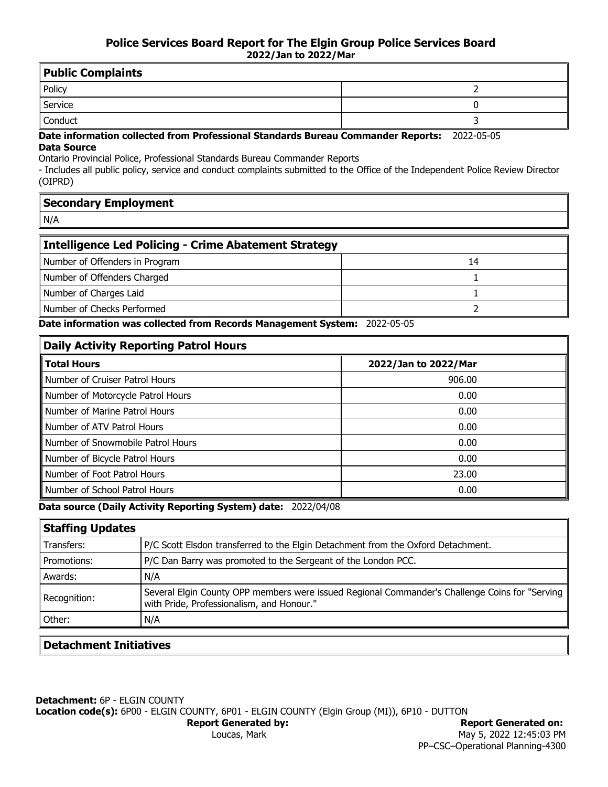| Public Complaints                              |                               |  |  |  |  |  |  |  |  |
|------------------------------------------------|-------------------------------|--|--|--|--|--|--|--|--|
| <b>Policy</b>                                  |                               |  |  |  |  |  |  |  |  |
| Service                                        |                               |  |  |  |  |  |  |  |  |
| Conduct                                        |                               |  |  |  |  |  |  |  |  |
| - - - -<br>$ -$<br>.<br>- -<br>.<br>. .<br>. . | -<br>$\overline{\phantom{0}}$ |  |  |  |  |  |  |  |  |

#### **Date information collected from Professional Standards Bureau Commander Reports:** 2022-05-05 **Data Source**

Ontario Provincial Police, Professional Standards Bureau Commander Reports

- Includes all public policy, service and conduct complaints submitted to the Office of the Independent Police Review Director (OIPRD)

| Secondary Employment |  |
|----------------------|--|
|                      |  |

N/A

Ē

| Intelligence Led Policing - Crime Abatement Strategy |    |  |  |  |  |  |  |  |
|------------------------------------------------------|----|--|--|--|--|--|--|--|
| Number of Offenders in Program                       | 14 |  |  |  |  |  |  |  |
| Number of Offenders Charged                          |    |  |  |  |  |  |  |  |
| Number of Charges Laid                               |    |  |  |  |  |  |  |  |
| Number of Checks Performed                           |    |  |  |  |  |  |  |  |

**Date information was collected from Records Management System:** 2022-05-05

| <b>Daily Activity Reporting Patrol Hours</b> |                      |  |  |  |  |  |  |  |
|----------------------------------------------|----------------------|--|--|--|--|--|--|--|
| <b>Total Hours</b>                           | 2022/Jan to 2022/Mar |  |  |  |  |  |  |  |
| Number of Cruiser Patrol Hours               | 906.00               |  |  |  |  |  |  |  |
| Number of Motorcycle Patrol Hours            | 0.00                 |  |  |  |  |  |  |  |
| Number of Marine Patrol Hours                | 0.00                 |  |  |  |  |  |  |  |
| Number of ATV Patrol Hours                   | 0.00                 |  |  |  |  |  |  |  |
| Number of Snowmobile Patrol Hours            | 0.00                 |  |  |  |  |  |  |  |
| Number of Bicycle Patrol Hours               | 0.00                 |  |  |  |  |  |  |  |
| Number of Foot Patrol Hours                  | 23.00                |  |  |  |  |  |  |  |
| Number of School Patrol Hours                | 0.00                 |  |  |  |  |  |  |  |

**Data source (Daily Activity Reporting System) date:** 2022/04/08

| P/C Scott Elsdon transferred to the Elgin Detachment from the Oxford Detachment.                                                            |
|---------------------------------------------------------------------------------------------------------------------------------------------|
| P/C Dan Barry was promoted to the Sergeant of the London PCC.                                                                               |
| N/A                                                                                                                                         |
| Several Elgin County OPP members were issued Regional Commander's Challenge Coins for "Serving<br>with Pride, Professionalism, and Honour." |
| N/A                                                                                                                                         |
|                                                                                                                                             |

### **Detachment Initiatives**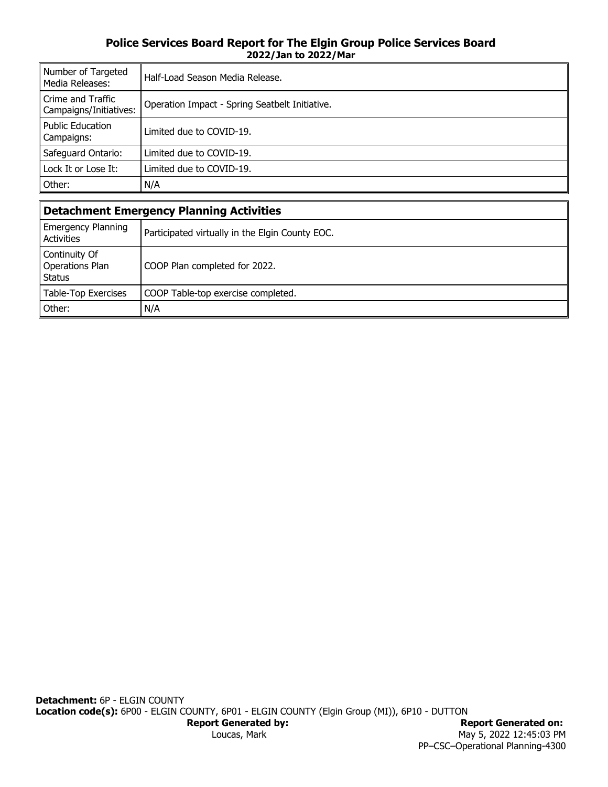#### **Police Services Board Report for The Elgin Group Police Services Board 2022/Jan to 2022/Mar**

| Number of Targeted<br>Media Releases:       | Half-Load Season Media Release.                |  |  |  |  |  |  |
|---------------------------------------------|------------------------------------------------|--|--|--|--|--|--|
| Crime and Traffic<br>Campaigns/Initiatives: | Operation Impact - Spring Seatbelt Initiative. |  |  |  |  |  |  |
| Public Education<br>Campaigns:              | Limited due to COVID-19.                       |  |  |  |  |  |  |
| Safeguard Ontario:                          | Limited due to COVID-19.                       |  |  |  |  |  |  |
| Lock It or Lose It:                         | Limited due to COVID-19.                       |  |  |  |  |  |  |
| Other:                                      | N/A                                            |  |  |  |  |  |  |

| Detachment Emergency Planning Activities     |                                                 |  |  |  |  |  |  |
|----------------------------------------------|-------------------------------------------------|--|--|--|--|--|--|
| Emergency Planning<br>Activities             | Participated virtually in the Elgin County EOC. |  |  |  |  |  |  |
| Continuity Of<br>Operations Plan<br>∥ Status | COOP Plan completed for 2022.                   |  |  |  |  |  |  |
| Table-Top Exercises                          | COOP Table-top exercise completed.              |  |  |  |  |  |  |
| ∥ Other:                                     | N/A                                             |  |  |  |  |  |  |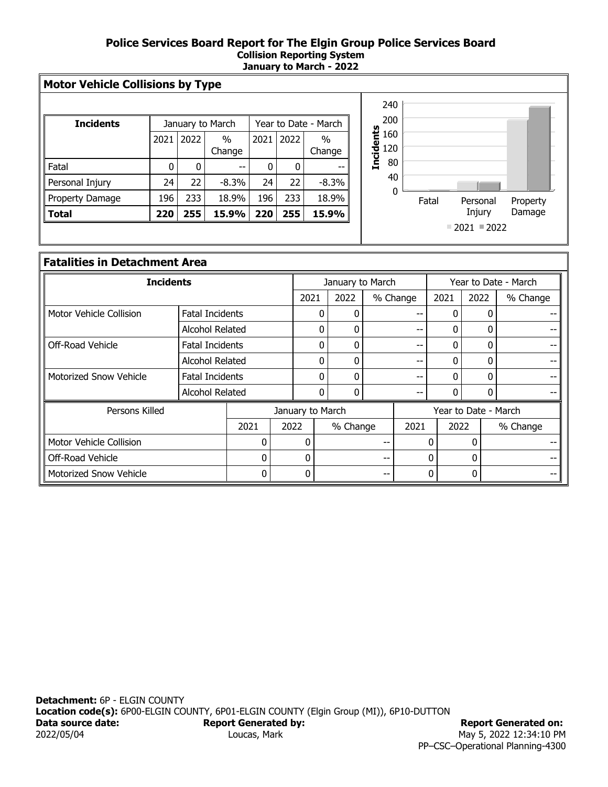#### **Police Services Board Report for The Elgin Group Police Services Board Collision Reporting System January to March - 2022**

| <b>Incidents</b> |      |      | January to March | Year to Date - March |      |                |  |
|------------------|------|------|------------------|----------------------|------|----------------|--|
|                  | 2021 | 2022 | $\%$<br>Change   | 2021                 | 2022 | $\%$<br>Change |  |
| Fatal            | 0    | 0    | --               | 0                    |      |                |  |
| Personal Injury  | 24   | 22   | $-8.3%$          | 24                   | 22   | $-8.3%$        |  |
| Property Damage  | 196  | 233  | 18.9%            | 196                  | 233  | 18.9%          |  |
| Total            | 220  | 255  | 15.9%            | 220                  | 255  | 15.9%          |  |
|                  |      |      |                  |                      |      |                |  |



### **Fatalities in Detachment Area**

| <b>Incidents</b>              |                        |                 |  |                  |   | January to March |          |      |                      | Year to Date - March |          |  |  |
|-------------------------------|------------------------|-----------------|--|------------------|---|------------------|----------|------|----------------------|----------------------|----------|--|--|
|                               |                        |                 |  | 2021             |   | 2022             | % Change |      | 2021                 | 2022                 | % Change |  |  |
| Motor Vehicle Collision       | <b>Fatal Incidents</b> |                 |  |                  | 0 |                  |          |      |                      | 0                    |          |  |  |
|                               | Alcohol Related        |                 |  |                  | 0 |                  |          |      |                      | 0                    |          |  |  |
| Off-Road Vehicle              | Fatal Incidents        |                 |  |                  | 0 | 0                |          | --   |                      | 0                    |          |  |  |
|                               | Alcohol Related        |                 |  |                  | 0 | 0                |          | --   |                      | 0                    |          |  |  |
| <b>Motorized Snow Vehicle</b> |                        | Fatal Incidents |  |                  | 0 | 0                |          | --   |                      | 0                    |          |  |  |
|                               |                        | Alcohol Related |  |                  | 0 |                  |          |      |                      |                      |          |  |  |
| Persons Killed                |                        |                 |  | January to March |   |                  |          |      | Year to Date - March |                      |          |  |  |
|                               | 2021<br>2022           |                 |  |                  |   | % Change         |          | 2021 | 2022                 |                      | % Change |  |  |
| Motor Vehicle Collision       | 0                      |                 |  | $\Omega$         |   |                  |          |      | 0                    | 0                    |          |  |  |
| Off-Road Vehicle              | $\Omega$               |                 |  | 0                |   | --               |          |      | 0                    | 0                    |          |  |  |
| <b>Motorized Snow Vehicle</b> |                        | 0               |  | 0                |   |                  |          |      | $\Omega$             | 0                    |          |  |  |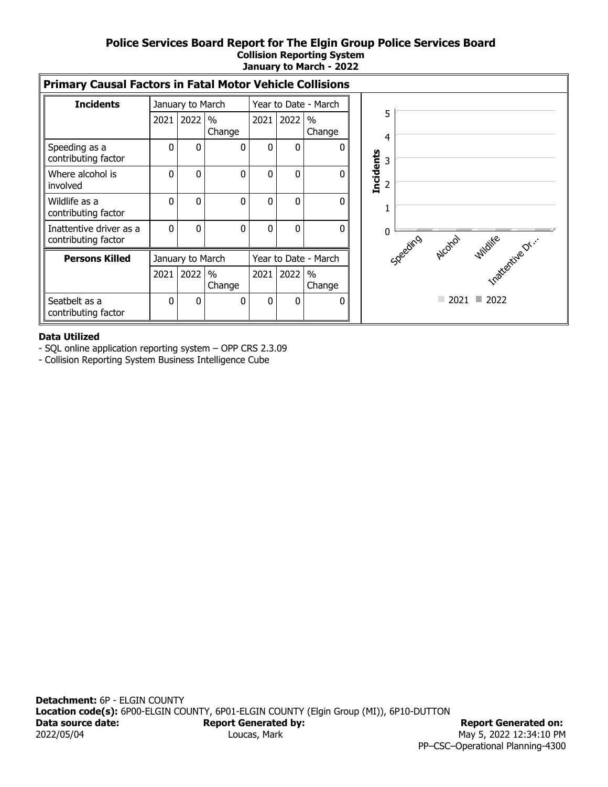#### **Police Services Board Report for The Elgin Group Police Services Board Collision Reporting System January to March - 2022**

| <b>Primary Causal Factors in Fatal Motor Vehicle Collisions</b> |      |                  |                |                      |              |                         |  |                  |                |  |                              |
|-----------------------------------------------------------------|------|------------------|----------------|----------------------|--------------|-------------------------|--|------------------|----------------|--|------------------------------|
| <b>Incidents</b>                                                |      | January to March |                | Year to Date - March |              |                         |  |                  |                |  |                              |
|                                                                 | 2021 | 2022             | $\%$<br>Change | 2021                 | 2022         | $\frac{0}{0}$<br>Change |  |                  | 5              |  |                              |
| Speeding as a<br>contributing factor                            | 0    | 0                | 0              | 0                    | $\mathbf{0}$ | $\bf{0}$                |  |                  | 4<br>3         |  |                              |
| Where alcohol is<br>involved                                    | 0    | 0                | 0              | 0                    | $\mathbf{0}$ | $\Omega$                |  | <b>Incidents</b> | $\overline{2}$ |  |                              |
| Wildlife as a<br>contributing factor                            | 0    | 0                | $\Omega$       | $\Omega$             | $\mathbf{0}$ | $\Omega$                |  |                  |                |  |                              |
| Inattentive driver as a<br>contributing factor                  | 0    | 0                | 0              | 0                    | 0            | $\Omega$                |  |                  |                |  | Specifico Archive Indire Dr. |
| <b>Persons Killed</b>                                           |      | January to March |                |                      |              | Year to Date - March    |  |                  |                |  |                              |
|                                                                 | 2021 | 2022             | $\%$<br>Change | 2021                 | 2022         | $\frac{0}{0}$<br>Change |  |                  |                |  |                              |
| Seatbelt as a<br>contributing factor                            | 0    | 0                | $\Omega$       | $\Omega$             | 0            | 0                       |  |                  |                |  | $\Box$ 2021 $\Box$ 2022      |

#### **Data Utilized**

-SQL online application reporting system – OPP CRS 2.3.09

- Collision Reporting System Business Intelligence Cube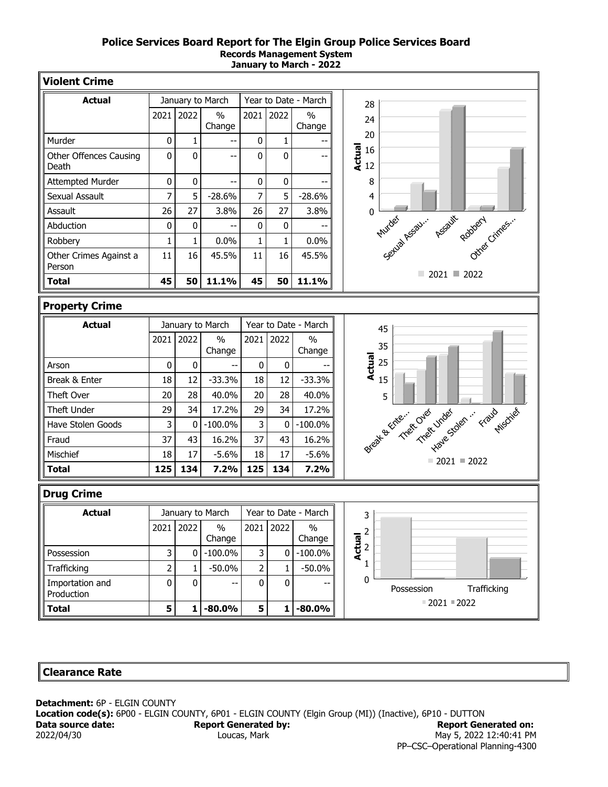#### **Police Services Board Report for The Elgin Group Police Services Board Records Management System January to March - 2022**

| <b>Violent Crime</b>                   |                |                                          |                  |                |              |                         |                                                |
|----------------------------------------|----------------|------------------------------------------|------------------|----------------|--------------|-------------------------|------------------------------------------------|
| <b>Actual</b>                          |                | January to March<br>Year to Date - March |                  |                |              |                         | 28                                             |
|                                        | 2021           | 2022                                     | $\%$<br>Change   | 2021           | 2022         | $\frac{0}{0}$<br>Change | 24<br>20                                       |
| Murder                                 | 0              | 1                                        | --               | 0              | 1            |                         |                                                |
| <b>Other Offences Causing</b><br>Death | 0              | 0                                        | $-$              | $\mathbf 0$    | $\mathbf 0$  |                         | $\frac{16}{12}$ 16<br>$\frac{16}{12}$          |
| <b>Attempted Murder</b>                | 0              | 0                                        | --               | 0              | $\pmb{0}$    |                         | 8                                              |
| Sexual Assault                         | 7              | 5                                        | $-28.6%$         | 7              | 5            | $-28.6%$                | $\overline{4}$                                 |
| Assault                                | 26             | 27                                       | 3.8%             | 26             | 27           | 3.8%                    | 0                                              |
| Abduction                              | 0              | 0                                        |                  | $\pmb{0}$      | 0            |                         | Setud Assau. Assault popper Cimes.             |
| Robbery                                | 1              | 1                                        | 0.0%             | $\mathbf{1}$   | $\mathbf{1}$ | 0.0%                    |                                                |
| Other Crimes Against a<br>Person       | 11             | 16                                       | 45.5%            | 11             | 16           | 45.5%                   |                                                |
| <b>Total</b>                           | 45             | 50                                       | 11.1%            | 45             | 50           | 11.1%                   | $\Box$ 2021 $\Box$ 2022                        |
| <b>Property Crime</b>                  |                |                                          |                  |                |              |                         |                                                |
| <b>Actual</b>                          |                |                                          | January to March |                |              | Year to Date - March    |                                                |
|                                        | 2021           | 2022                                     | $\frac{0}{0}$    | 2021           | 2022         | $\frac{0}{0}$           | 45                                             |
|                                        |                |                                          | Change           |                |              | Change                  | 35                                             |
| Arson                                  | 0              | $\mathbf{0}$                             |                  | 0              | $\mathbf 0$  |                         | <b>Actual</b><br>25                            |
| Break & Enter                          | 18             | 12                                       | $-33.3%$         | 18             | 12           | $-33.3%$                | 15                                             |
| Theft Over                             | 20             | 28                                       | 40.0%            | 20             | 28           | 40.0%                   | 5                                              |
| Theft Under                            | 29             | 34                                       | 17.2%            | 29             | 34           | 17.2%                   |                                                |
| Have Stolen Goods                      | 3              | $\mathbf{0}$                             | $-100.0%$        | 3              | 0            | $-100.0\%$              | Break & Tries into the under travel this diver |
| Fraud                                  | 37             | 43                                       | 16.2%            | 37             | 43           | 16.2%                   |                                                |
| Mischief                               | 18             | 17                                       | $-5.6%$          | 18             | 17           | $-5.6%$                 |                                                |
| <b>Total</b>                           | 125            | 134                                      | 7.2%             | 125            | 134          | 7.2%                    | $\blacksquare$ 2021 $\blacksquare$ 2022        |
| <b>Drug Crime</b>                      |                |                                          |                  |                |              |                         |                                                |
| <b>Actual</b>                          |                |                                          | January to March |                |              | Year to Date - March    | 3                                              |
|                                        | 2021           | 2022                                     | $\%$             |                | 2021 2022    | $\%$                    | $\overline{c}$                                 |
|                                        |                |                                          | Change           |                |              | Change                  | $\frac{1}{2}$<br>$\frac{1}{2}$                 |
| Possession                             | 3              | 0                                        | $-100.0\%$       | 3              | 0            | $-100.0\%$              |                                                |
| Trafficking                            | $\overline{2}$ | 1                                        | $-50.0%$         | $\overline{2}$ | 1            | $-50.0\%$               | 1                                              |
| Importation and<br>Production          | 0              | 0                                        |                  | 0              | 0            |                         | 0<br>Possession<br>Trafficking                 |
| <b>Total</b>                           | 5              | $\mathbf{1}$                             | $-80.0%$         | 5              | $\mathbf{1}$ | $-80.0%$                | $= 2021 = 2022$                                |

#### **Clearance Rate**

**Detachment:** 6P - ELGIN COUNTY Location code(s): 6P00 - ELGIN COUNTY, 6P01 - ELGIN COUNTY (Elgin Group (MI)) (Inactive), 6P10 - DUTTON Data source date: **Report Generated by: Report Generated on: Report Generated on:** 2022/04/30 Loucas, Mark Loucas, Mark May 5, 2022 12:40:41 PM PP–CSC–Operational Planning-4300